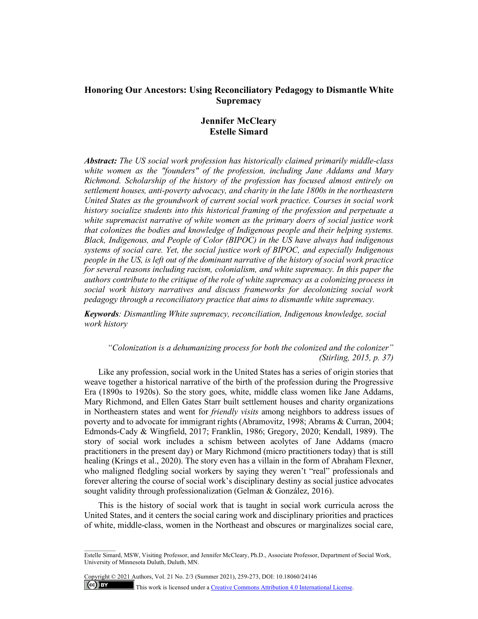## **Honoring Our Ancestors: Using Reconciliatory Pedagogy to Dismantle White Supremacy**

# **Jennifer McCleary Estelle Simard**

*Abstract: The US social work profession has historically claimed primarily middle-class white women as the "founders" of the profession, including Jane Addams and Mary Richmond. Scholarship of the history of the profession has focused almost entirely on settlement houses, anti-poverty advocacy, and charity in the late 1800s in the northeastern United States as the groundwork of current social work practice. Courses in social work history socialize students into this historical framing of the profession and perpetuate a white supremacist narrative of white women as the primary doers of social justice work that colonizes the bodies and knowledge of Indigenous people and their helping systems. Black, Indigenous, and People of Color (BIPOC) in the US have always had indigenous systems of social care. Yet, the social justice work of BIPOC, and especially Indigenous people in the US, is left out of the dominant narrative of the history of social work practice for several reasons including racism, colonialism, and white supremacy. In this paper the authors contribute to the critique of the role of white supremacy as a colonizing process in social work history narratives and discuss frameworks for decolonizing social work pedagogy through a reconciliatory practice that aims to dismantle white supremacy.* 

*Keywords: Dismantling White supremacy, reconciliation, Indigenous knowledge, social work history*

*"Colonization is a dehumanizing process for both the colonized and the colonizer" (Stirling, 2015, p. 37)*

Like any profession, social work in the United States has a series of origin stories that weave together a historical narrative of the birth of the profession during the Progressive Era (1890s to 1920s). So the story goes, white, middle class women like Jane Addams, Mary Richmond, and Ellen Gates Starr built settlement houses and charity organizations in Northeastern states and went for *friendly visits* among neighbors to address issues of poverty and to advocate for immigrant rights (Abramovitz, 1998; Abrams & Curran, 2004; Edmonds-Cady & Wingfield, 2017; Franklin, 1986; Gregory, 2020; Kendall, 1989). The story of social work includes a schism between acolytes of Jane Addams (macro practitioners in the present day) or Mary Richmond (micro practitioners today) that is still healing (Krings et al., 2020). The story even has a villain in the form of Abraham Flexner, who maligned fledgling social workers by saying they weren't "real" professionals and forever altering the course of social work's disciplinary destiny as social justice advocates sought validity through professionalization (Gelman & González, 2016).

This is the history of social work that is taught in social work curricula across the United States, and it centers the social caring work and disciplinary priorities and practices of white, middle-class, women in the Northeast and obscures or marginalizes social care,

Copyright © 2021 Authors, Vol. 21 No. 2/3 (Summer 2021), 259-273, DOI: 10.18060/24146

 $\frac{1}{2}$ 

 $(cc)$  BY

This work is licensed under [a Creative Commons Attribution 4.0 International License.](about:blank)

Estelle Simard, MSW, Visiting Professor, and Jennifer McCleary, Ph.D., Associate Professor, Department of Social Work, University of Minnesota Duluth, Duluth, MN.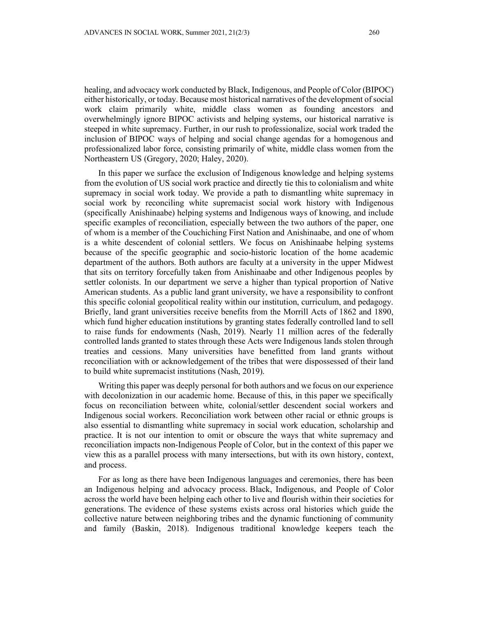healing, and advocacy work conducted by Black, Indigenous, and People of Color (BIPOC) either historically, or today. Because most historical narratives of the development of social work claim primarily white, middle class women as founding ancestors and overwhelmingly ignore BIPOC activists and helping systems, our historical narrative is steeped in white supremacy. Further, in our rush to professionalize, social work traded the inclusion of BIPOC ways of helping and social change agendas for a homogenous and professionalized labor force, consisting primarily of white, middle class women from the Northeastern US (Gregory, 2020; Haley, 2020).

In this paper we surface the exclusion of Indigenous knowledge and helping systems from the evolution of US social work practice and directly tie this to colonialism and white supremacy in social work today. We provide a path to dismantling white supremacy in social work by reconciling white supremacist social work history with Indigenous (specifically Anishinaabe) helping systems and Indigenous ways of knowing, and include specific examples of reconciliation, especially between the two authors of the paper, one of whom is a member of the Couchiching First Nation and Anishinaabe, and one of whom is a white descendent of colonial settlers. We focus on Anishinaabe helping systems because of the specific geographic and socio-historic location of the home academic department of the authors. Both authors are faculty at a university in the upper Midwest that sits on territory forcefully taken from Anishinaabe and other Indigenous peoples by settler colonists. In our department we serve a higher than typical proportion of Native American students. As a public land grant university, we have a responsibility to confront this specific colonial geopolitical reality within our institution, curriculum, and pedagogy. Briefly, land grant universities receive benefits from the Morrill Acts of 1862 and 1890, which fund higher education institutions by granting states federally controlled land to sell to raise funds for endowments (Nash, 2019). Nearly 11 million acres of the federally controlled lands granted to states through these Acts were Indigenous lands stolen through treaties and cessions. Many universities have benefitted from land grants without reconciliation with or acknowledgement of the tribes that were dispossessed of their land to build white supremacist institutions (Nash, 2019).

Writing this paper was deeply personal for both authors and we focus on our experience with decolonization in our academic home. Because of this, in this paper we specifically focus on reconciliation between white, colonial/settler descendent social workers and Indigenous social workers. Reconciliation work between other racial or ethnic groups is also essential to dismantling white supremacy in social work education, scholarship and practice. It is not our intention to omit or obscure the ways that white supremacy and reconciliation impacts non-Indigenous People of Color, but in the context of this paper we view this as a parallel process with many intersections, but with its own history, context, and process.

For as long as there have been Indigenous languages and ceremonies, there has been an Indigenous helping and advocacy process. Black, Indigenous, and People of Color across the world have been helping each other to live and flourish within their societies for generations. The evidence of these systems exists across oral histories which guide the collective nature between neighboring tribes and the dynamic functioning of community and family (Baskin, 2018). Indigenous traditional knowledge keepers teach the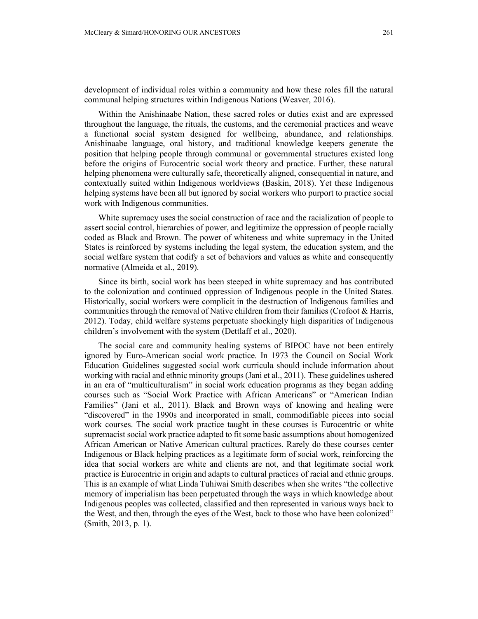development of individual roles within a community and how these roles fill the natural communal helping structures within Indigenous Nations (Weaver, 2016).

Within the Anishinaabe Nation, these sacred roles or duties exist and are expressed throughout the language, the rituals, the customs, and the ceremonial practices and weave a functional social system designed for wellbeing, abundance, and relationships. Anishinaabe language, oral history, and traditional knowledge keepers generate the position that helping people through communal or governmental structures existed long before the origins of Eurocentric social work theory and practice. Further, these natural helping phenomena were culturally safe, theoretically aligned, consequential in nature, and contextually suited within Indigenous worldviews (Baskin, 2018). Yet these Indigenous helping systems have been all but ignored by social workers who purport to practice social work with Indigenous communities.

White supremacy uses the social construction of race and the racialization of people to assert social control, hierarchies of power, and legitimize the oppression of people racially coded as Black and Brown. The power of whiteness and white supremacy in the United States is reinforced by systems including the legal system, the education system, and the social welfare system that codify a set of behaviors and values as white and consequently normative (Almeida et al., 2019).

Since its birth, social work has been steeped in white supremacy and has contributed to the colonization and continued oppression of Indigenous people in the United States. Historically, social workers were complicit in the destruction of Indigenous families and communities through the removal of Native children from their families (Crofoot & Harris, 2012). Today, child welfare systems perpetuate shockingly high disparities of Indigenous children's involvement with the system (Dettlaff et al., 2020).

The social care and community healing systems of BIPOC have not been entirely ignored by Euro-American social work practice. In 1973 the Council on Social Work Education Guidelines suggested social work curricula should include information about working with racial and ethnic minority groups (Jani et al., 2011). These guidelines ushered in an era of "multiculturalism" in social work education programs as they began adding courses such as "Social Work Practice with African Americans" or "American Indian Families" (Jani et al., 2011). Black and Brown ways of knowing and healing were "discovered" in the 1990s and incorporated in small, commodifiable pieces into social work courses. The social work practice taught in these courses is Eurocentric or white supremacist social work practice adapted to fit some basic assumptions about homogenized African American or Native American cultural practices. Rarely do these courses center Indigenous or Black helping practices as a legitimate form of social work, reinforcing the idea that social workers are white and clients are not, and that legitimate social work practice is Eurocentric in origin and adapts to cultural practices of racial and ethnic groups. This is an example of what Linda Tuhiwai Smith describes when she writes "the collective memory of imperialism has been perpetuated through the ways in which knowledge about Indigenous peoples was collected, classified and then represented in various ways back to the West, and then, through the eyes of the West, back to those who have been colonized" (Smith, 2013, p. 1).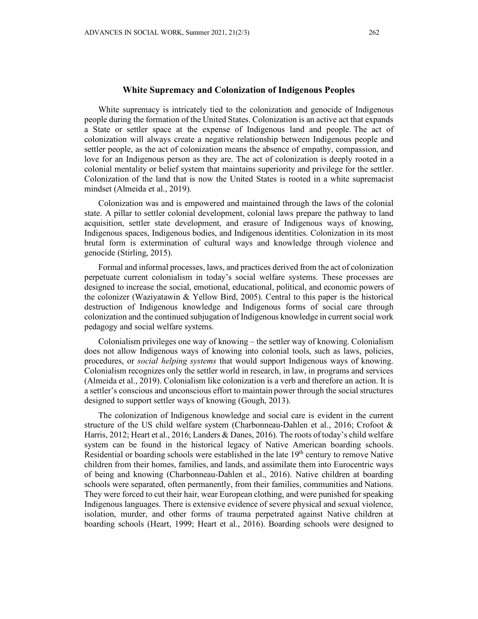White supremacy is intricately tied to the colonization and genocide of Indigenous people during the formation of the United States. Colonization is an active act that expands a State or settler space at the expense of Indigenous land and people. The act of colonization will always create a negative relationship between Indigenous people and settler people, as the act of colonization means the absence of empathy, compassion, and love for an Indigenous person as they are. The act of colonization is deeply rooted in a colonial mentality or belief system that maintains superiority and privilege for the settler. Colonization of the land that is now the United States is rooted in a white supremacist mindset (Almeida et al., 2019).

Colonization was and is empowered and maintained through the laws of the colonial state. A pillar to settler colonial development, colonial laws prepare the pathway to land acquisition, settler state development, and erasure of Indigenous ways of knowing, Indigenous spaces, Indigenous bodies, and Indigenous identities. Colonization in its most brutal form is extermination of cultural ways and knowledge through violence and genocide (Stirling, 2015).

Formal and informal processes, laws, and practices derived from the act of colonization perpetuate current colonialism in today's social welfare systems. These processes are designed to increase the social, emotional, educational, political, and economic powers of the colonizer (Waziyatawin & Yellow Bird, 2005). Central to this paper is the historical destruction of Indigenous knowledge and Indigenous forms of social care through colonization and the continued subjugation of Indigenous knowledge in current social work pedagogy and social welfare systems.

Colonialism privileges one way of knowing – the settler way of knowing. Colonialism does not allow Indigenous ways of knowing into colonial tools, such as laws, policies, procedures, or *social helping systems* that would support Indigenous ways of knowing. Colonialism recognizes only the settler world in research, in law, in programs and services (Almeida et al., 2019). Colonialism like colonization is a verb and therefore an action. It is a settler's conscious and unconscious effort to maintain power through the social structures designed to support settler ways of knowing (Gough, 2013).

The colonization of Indigenous knowledge and social care is evident in the current structure of the US child welfare system (Charbonneau-Dahlen et al., 2016; Crofoot & Harris, 2012; Heart et al., 2016; Landers & Danes, 2016). The roots of today's child welfare system can be found in the historical legacy of Native American boarding schools. Residential or boarding schools were established in the late  $19<sup>th</sup>$  century to remove Native children from their homes, families, and lands, and assimilate them into Eurocentric ways of being and knowing (Charbonneau-Dahlen et al., 2016). Native children at boarding schools were separated, often permanently, from their families, communities and Nations. They were forced to cut their hair, wear European clothing, and were punished for speaking Indigenous languages. There is extensive evidence of severe physical and sexual violence, isolation, murder, and other forms of trauma perpetrated against Native children at boarding schools (Heart, 1999; Heart et al., 2016). Boarding schools were designed to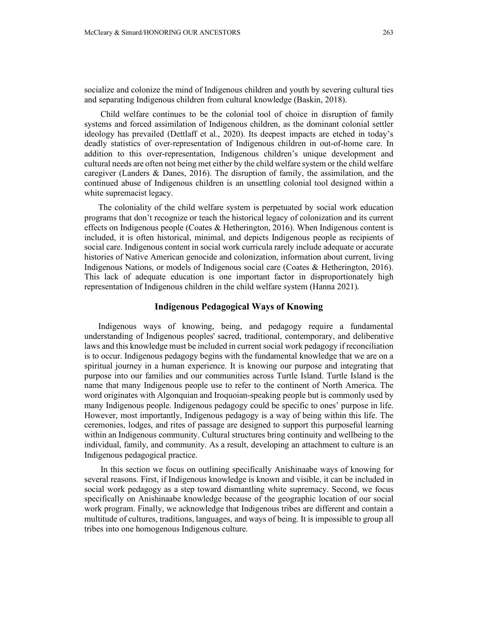socialize and colonize the mind of Indigenous children and youth by severing cultural ties and separating Indigenous children from cultural knowledge (Baskin, 2018).

Child welfare continues to be the colonial tool of choice in disruption of family systems and forced assimilation of Indigenous children, as the dominant colonial settler ideology has prevailed (Dettlaff et al., 2020). Its deepest impacts are etched in today's deadly statistics of over-representation of Indigenous children in out-of-home care. In addition to this over-representation, Indigenous children's unique development and cultural needs are often not being met either by the child welfare system or the child welfare caregiver (Landers & Danes, 2016). The disruption of family, the assimilation, and the continued abuse of Indigenous children is an unsettling colonial tool designed within a white supremacist legacy.

The coloniality of the child welfare system is perpetuated by social work education programs that don't recognize or teach the historical legacy of colonization and its current effects on Indigenous people (Coates & Hetherington, 2016). When Indigenous content is included, it is often historical, minimal, and depicts Indigenous people as recipients of social care. Indigenous content in social work curricula rarely include adequate or accurate histories of Native American genocide and colonization, information about current, living Indigenous Nations, or models of Indigenous social care (Coates & Hetherington, 2016). This lack of adequate education is one important factor in disproportionately high representation of Indigenous children in the child welfare system (Hanna 2021).

### **Indigenous Pedagogical Ways of Knowing**

Indigenous ways of knowing, being, and pedagogy require a fundamental understanding of Indigenous peoples' sacred, traditional, contemporary, and deliberative laws and this knowledge must be included in current social work pedagogy if reconciliation is to occur. Indigenous pedagogy begins with the fundamental knowledge that we are on a spiritual journey in a human experience. It is knowing our purpose and integrating that purpose into our families and our communities across Turtle Island. Turtle Island is the name that many Indigenous people use to refer to the continent of North America. The word originates with Algonquian and Iroquoian-speaking people but is commonly used by many Indigenous people. Indigenous pedagogy could be specific to ones' purpose in life. However, most importantly, Indigenous pedagogy is a way of being within this life. The ceremonies, lodges, and rites of passage are designed to support this purposeful learning within an Indigenous community. Cultural structures bring continuity and wellbeing to the individual, family, and community. As a result, developing an attachment to culture is an Indigenous pedagogical practice.

In this section we focus on outlining specifically Anishinaabe ways of knowing for several reasons. First, if Indigenous knowledge is known and visible, it can be included in social work pedagogy as a step toward dismantling white supremacy. Second, we focus specifically on Anishinaabe knowledge because of the geographic location of our social work program. Finally, we acknowledge that Indigenous tribes are different and contain a multitude of cultures, traditions, languages, and ways of being. It is impossible to group all tribes into one homogenous Indigenous culture.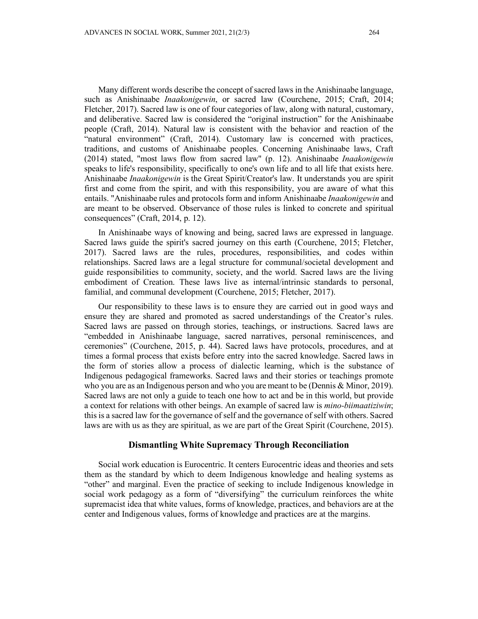Many different words describe the concept of sacred laws in the Anishinaabe language, such as Anishinaabe *Inaakonigewin*, or sacred law (Courchene, 2015; Craft, 2014; Fletcher, 2017). Sacred law is one of four categories of law, along with natural, customary, and deliberative. Sacred law is considered the "original instruction" for the Anishinaabe people (Craft, 2014). Natural law is consistent with the behavior and reaction of the "natural environment" (Craft, 2014). Customary law is concerned with practices, traditions, and customs of Anishinaabe peoples. Concerning Anishinaabe laws, Craft (2014) stated, "most laws flow from sacred law" (p. 12). Anishinaabe *Inaakonigewin* speaks to life's responsibility, specifically to one's own life and to all life that exists here. Anishinaabe *Inaakonigewin* is the Great Spirit/Creator's law. It understands you are spirit first and come from the spirit, and with this responsibility, you are aware of what this entails. "Anishinaabe rules and protocols form and inform Anishinaabe *Inaakonigewin* and are meant to be observed. Observance of those rules is linked to concrete and spiritual consequences" (Craft, 2014, p. 12).

In Anishinaabe ways of knowing and being, sacred laws are expressed in language. Sacred laws guide the spirit's sacred journey on this earth (Courchene, 2015; Fletcher, 2017). Sacred laws are the rules, procedures, responsibilities, and codes within relationships. Sacred laws are a legal structure for communal/societal development and guide responsibilities to community, society, and the world. Sacred laws are the living embodiment of Creation. These laws live as internal/intrinsic standards to personal, familial, and communal development (Courchene, 2015; Fletcher, 2017).

Our responsibility to these laws is to ensure they are carried out in good ways and ensure they are shared and promoted as sacred understandings of the Creator's rules. Sacred laws are passed on through stories, teachings, or instructions. Sacred laws are "embedded in Anishinaabe language, sacred narratives, personal reminiscences, and ceremonies" (Courchene, 2015, p. 44). Sacred laws have protocols, procedures, and at times a formal process that exists before entry into the sacred knowledge. Sacred laws in the form of stories allow a process of dialectic learning, which is the substance of Indigenous pedagogical frameworks. Sacred laws and their stories or teachings promote who you are as an Indigenous person and who you are meant to be (Dennis & Minor, 2019). Sacred laws are not only a guide to teach one how to act and be in this world, but provide a context for relations with other beings. An example of sacred law is *mino-biimaatiziwin*; this is a sacred law for the governance of self and the governance of self with others. Sacred laws are with us as they are spiritual, as we are part of the Great Spirit (Courchene, 2015).

### **Dismantling White Supremacy Through Reconciliation**

Social work education is Eurocentric. It centers Eurocentric ideas and theories and sets them as the standard by which to deem Indigenous knowledge and healing systems as "other" and marginal. Even the practice of seeking to include Indigenous knowledge in social work pedagogy as a form of "diversifying" the curriculum reinforces the white supremacist idea that white values, forms of knowledge, practices, and behaviors are at the center and Indigenous values, forms of knowledge and practices are at the margins.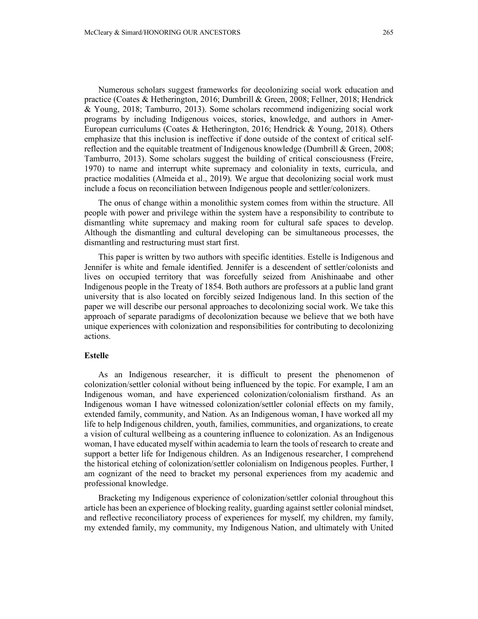Numerous scholars suggest frameworks for decolonizing social work education and practice (Coates & Hetherington, 2016; Dumbrill & Green, 2008; Fellner, 2018; Hendrick & Young, 2018; Tamburro, 2013). Some scholars recommend indigenizing social work programs by including Indigenous voices, stories, knowledge, and authors in Amer-European curriculums (Coates & Hetherington, 2016; Hendrick & Young, 2018). Others emphasize that this inclusion is ineffective if done outside of the context of critical selfreflection and the equitable treatment of Indigenous knowledge (Dumbrill & Green, 2008; Tamburro, 2013). Some scholars suggest the building of critical consciousness (Freire, 1970) to name and interrupt white supremacy and coloniality in texts, curricula, and practice modalities (Almeida et al., 2019). We argue that decolonizing social work must include a focus on reconciliation between Indigenous people and settler/colonizers.

The onus of change within a monolithic system comes from within the structure. All people with power and privilege within the system have a responsibility to contribute to dismantling white supremacy and making room for cultural safe spaces to develop. Although the dismantling and cultural developing can be simultaneous processes, the dismantling and restructuring must start first.

This paper is written by two authors with specific identities. Estelle is Indigenous and Jennifer is white and female identified. Jennifer is a descendent of settler/colonists and lives on occupied territory that was forcefully seized from Anishinaabe and other Indigenous people in the Treaty of 1854. Both authors are professors at a public land grant university that is also located on forcibly seized Indigenous land. In this section of the paper we will describe our personal approaches to decolonizing social work. We take this approach of separate paradigms of decolonization because we believe that we both have unique experiences with colonization and responsibilities for contributing to decolonizing actions.

#### **Estelle**

As an Indigenous researcher, it is difficult to present the phenomenon of colonization/settler colonial without being influenced by the topic. For example, I am an Indigenous woman, and have experienced colonization/colonialism firsthand. As an Indigenous woman I have witnessed colonization/settler colonial effects on my family, extended family, community, and Nation. As an Indigenous woman, I have worked all my life to help Indigenous children, youth, families, communities, and organizations, to create a vision of cultural wellbeing as a countering influence to colonization. As an Indigenous woman, I have educated myself within academia to learn the tools of research to create and support a better life for Indigenous children. As an Indigenous researcher, I comprehend the historical etching of colonization/settler colonialism on Indigenous peoples. Further, I am cognizant of the need to bracket my personal experiences from my academic and professional knowledge.

Bracketing my Indigenous experience of colonization/settler colonial throughout this article has been an experience of blocking reality, guarding against settler colonial mindset, and reflective reconciliatory process of experiences for myself, my children, my family, my extended family, my community, my Indigenous Nation, and ultimately with United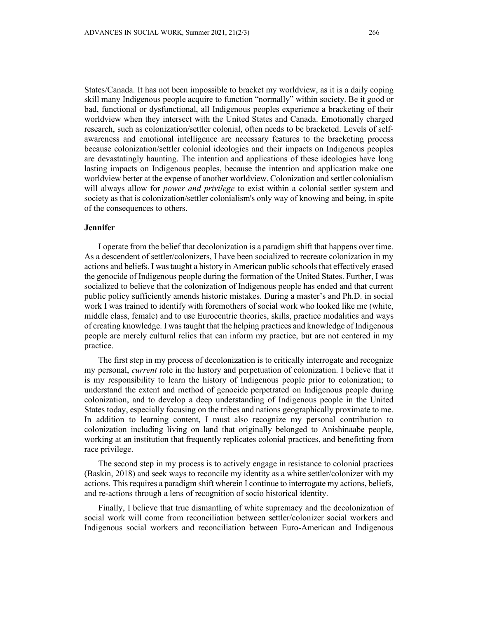States/Canada. It has not been impossible to bracket my worldview, as it is a daily coping skill many Indigenous people acquire to function "normally" within society. Be it good or bad, functional or dysfunctional, all Indigenous peoples experience a bracketing of their worldview when they intersect with the United States and Canada. Emotionally charged research, such as colonization/settler colonial, often needs to be bracketed. Levels of selfawareness and emotional intelligence are necessary features to the bracketing process because colonization/settler colonial ideologies and their impacts on Indigenous peoples are devastatingly haunting. The intention and applications of these ideologies have long lasting impacts on Indigenous peoples, because the intention and application make one worldview better at the expense of another worldview. Colonization and settler colonialism will always allow for *power and privilege* to exist within a colonial settler system and society as that is colonization/settler colonialism's only way of knowing and being, in spite of the consequences to others.

## **Jennifer**

I operate from the belief that decolonization is a paradigm shift that happens over time. As a descendent of settler/colonizers, I have been socialized to recreate colonization in my actions and beliefs. I was taught a history in American public schools that effectively erased the genocide of Indigenous people during the formation of the United States. Further, I was socialized to believe that the colonization of Indigenous people has ended and that current public policy sufficiently amends historic mistakes. During a master's and Ph.D. in social work I was trained to identify with foremothers of social work who looked like me (white, middle class, female) and to use Eurocentric theories, skills, practice modalities and ways of creating knowledge. I was taught that the helping practices and knowledge of Indigenous people are merely cultural relics that can inform my practice, but are not centered in my practice.

The first step in my process of decolonization is to critically interrogate and recognize my personal, *current* role in the history and perpetuation of colonization. I believe that it is my responsibility to learn the history of Indigenous people prior to colonization; to understand the extent and method of genocide perpetrated on Indigenous people during colonization, and to develop a deep understanding of Indigenous people in the United States today, especially focusing on the tribes and nations geographically proximate to me. In addition to learning content, I must also recognize my personal contribution to colonization including living on land that originally belonged to Anishinaabe people, working at an institution that frequently replicates colonial practices, and benefitting from race privilege.

The second step in my process is to actively engage in resistance to colonial practices (Baskin, 2018) and seek ways to reconcile my identity as a white settler/colonizer with my actions. This requires a paradigm shift wherein I continue to interrogate my actions, beliefs, and re-actions through a lens of recognition of socio historical identity.

Finally, I believe that true dismantling of white supremacy and the decolonization of social work will come from reconciliation between settler/colonizer social workers and Indigenous social workers and reconciliation between Euro-American and Indigenous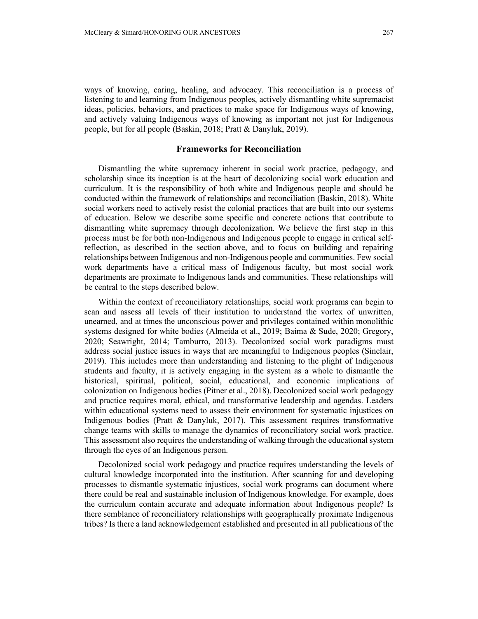ways of knowing, caring, healing, and advocacy. This reconciliation is a process of listening to and learning from Indigenous peoples, actively dismantling white supremacist ideas, policies, behaviors, and practices to make space for Indigenous ways of knowing, and actively valuing Indigenous ways of knowing as important not just for Indigenous people, but for all people (Baskin, 2018; Pratt & Danyluk, 2019).

#### **Frameworks for Reconciliation**

Dismantling the white supremacy inherent in social work practice, pedagogy, and scholarship since its inception is at the heart of decolonizing social work education and curriculum. It is the responsibility of both white and Indigenous people and should be conducted within the framework of relationships and reconciliation (Baskin, 2018). White social workers need to actively resist the colonial practices that are built into our systems of education. Below we describe some specific and concrete actions that contribute to dismantling white supremacy through decolonization. We believe the first step in this process must be for both non-Indigenous and Indigenous people to engage in critical selfreflection, as described in the section above, and to focus on building and repairing relationships between Indigenous and non-Indigenous people and communities. Few social work departments have a critical mass of Indigenous faculty, but most social work departments are proximate to Indigenous lands and communities. These relationships will be central to the steps described below.

Within the context of reconciliatory relationships, social work programs can begin to scan and assess all levels of their institution to understand the vortex of unwritten, unearned, and at times the unconscious power and privileges contained within monolithic systems designed for white bodies (Almeida et al., 2019; Baima & Sude, 2020; Gregory, 2020; Seawright, 2014; Tamburro, 2013). Decolonized social work paradigms must address social justice issues in ways that are meaningful to Indigenous peoples (Sinclair, 2019). This includes more than understanding and listening to the plight of Indigenous students and faculty, it is actively engaging in the system as a whole to dismantle the historical, spiritual, political, social, educational, and economic implications of colonization on Indigenous bodies (Pitner et al., 2018). Decolonized social work pedagogy and practice requires moral, ethical, and transformative leadership and agendas. Leaders within educational systems need to assess their environment for systematic injustices on Indigenous bodies (Pratt & Danyluk, 2017). This assessment requires transformative change teams with skills to manage the dynamics of reconciliatory social work practice. This assessment also requires the understanding of walking through the educational system through the eyes of an Indigenous person.

Decolonized social work pedagogy and practice requires understanding the levels of cultural knowledge incorporated into the institution. After scanning for and developing processes to dismantle systematic injustices, social work programs can document where there could be real and sustainable inclusion of Indigenous knowledge. For example, does the curriculum contain accurate and adequate information about Indigenous people? Is there semblance of reconciliatory relationships with geographically proximate Indigenous tribes? Is there a land acknowledgement established and presented in all publications of the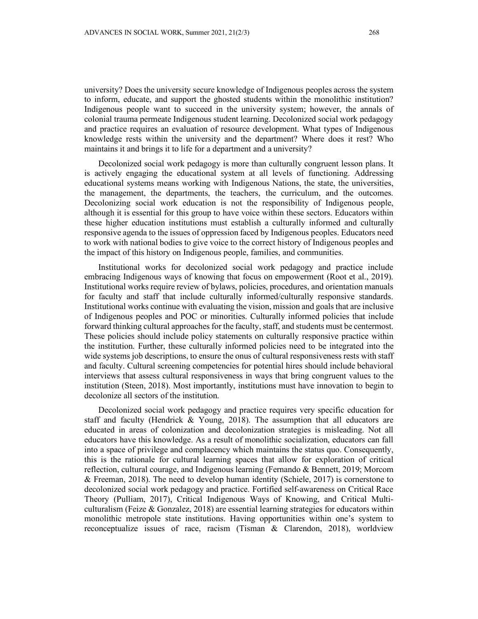university? Does the university secure knowledge of Indigenous peoples across the system to inform, educate, and support the ghosted students within the monolithic institution? Indigenous people want to succeed in the university system; however, the annals of colonial trauma permeate Indigenous student learning. Decolonized social work pedagogy and practice requires an evaluation of resource development. What types of Indigenous knowledge rests within the university and the department? Where does it rest? Who maintains it and brings it to life for a department and a university?

Decolonized social work pedagogy is more than culturally congruent lesson plans. It is actively engaging the educational system at all levels of functioning. Addressing educational systems means working with Indigenous Nations, the state, the universities, the management, the departments, the teachers, the curriculum, and the outcomes. Decolonizing social work education is not the responsibility of Indigenous people, although it is essential for this group to have voice within these sectors. Educators within these higher education institutions must establish a culturally informed and culturally responsive agenda to the issues of oppression faced by Indigenous peoples. Educators need to work with national bodies to give voice to the correct history of Indigenous peoples and the impact of this history on Indigenous people, families, and communities.

Institutional works for decolonized social work pedagogy and practice include embracing Indigenous ways of knowing that focus on empowerment (Root et al., 2019). Institutional works require review of bylaws, policies, procedures, and orientation manuals for faculty and staff that include culturally informed/culturally responsive standards. Institutional works continue with evaluating the vision, mission and goals that are inclusive of Indigenous peoples and POC or minorities. Culturally informed policies that include forward thinking cultural approaches for the faculty, staff, and students must be centermost. These policies should include policy statements on culturally responsive practice within the institution. Further, these culturally informed policies need to be integrated into the wide systems job descriptions, to ensure the onus of cultural responsiveness rests with staff and faculty. Cultural screening competencies for potential hires should include behavioral interviews that assess cultural responsiveness in ways that bring congruent values to the institution (Steen, 2018). Most importantly, institutions must have innovation to begin to decolonize all sectors of the institution.

Decolonized social work pedagogy and practice requires very specific education for staff and faculty (Hendrick & Young, 2018). The assumption that all educators are educated in areas of colonization and decolonization strategies is misleading. Not all educators have this knowledge. As a result of monolithic socialization, educators can fall into a space of privilege and complacency which maintains the status quo. Consequently, this is the rationale for cultural learning spaces that allow for exploration of critical reflection, cultural courage, and Indigenous learning (Fernando & Bennett, 2019; Morcom & Freeman, 2018). The need to develop human identity (Schiele, 2017) is cornerstone to decolonized social work pedagogy and practice. Fortified self-awareness on Critical Race Theory (Pulliam, 2017), Critical Indigenous Ways of Knowing, and Critical Multiculturalism (Feize  $\&$  Gonzalez, 2018) are essential learning strategies for educators within monolithic metropole state institutions. Having opportunities within one's system to reconceptualize issues of race, racism (Tisman & Clarendon, 2018), worldview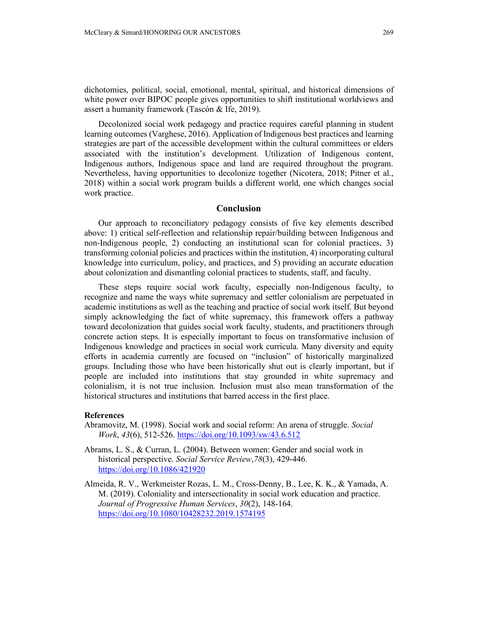dichotomies, political, social, emotional, mental, spiritual, and historical dimensions of white power over BIPOC people gives opportunities to shift institutional worldviews and assert a humanity framework (Tascón & Ife, 2019).

Decolonized social work pedagogy and practice requires careful planning in student learning outcomes (Varghese, 2016). Application of Indigenous best practices and learning strategies are part of the accessible development within the cultural committees or elders associated with the institution's development. Utilization of Indigenous content, Indigenous authors, Indigenous space and land are required throughout the program. Nevertheless, having opportunities to decolonize together (Nicotera, 2018; Pitner et al., 2018) within a social work program builds a different world, one which changes social work practice.

### **Conclusion**

Our approach to reconciliatory pedagogy consists of five key elements described above: 1) critical self-reflection and relationship repair/building between Indigenous and non-Indigenous people, 2) conducting an institutional scan for colonial practices, 3) transforming colonial policies and practices within the institution, 4) incorporating cultural knowledge into curriculum, policy, and practices, and 5) providing an accurate education about colonization and dismantling colonial practices to students, staff, and faculty.

These steps require social work faculty, especially non-Indigenous faculty, to recognize and name the ways white supremacy and settler colonialism are perpetuated in academic institutions as well as the teaching and practice of social work itself. But beyond simply acknowledging the fact of white supremacy, this framework offers a pathway toward decolonization that guides social work faculty, students, and practitioners through concrete action steps. It is especially important to focus on transformative inclusion of Indigenous knowledge and practices in social work curricula. Many diversity and equity efforts in academia currently are focused on "inclusion" of historically marginalized groups. Including those who have been historically shut out is clearly important, but if people are included into institutions that stay grounded in white supremacy and colonialism, it is not true inclusion. Inclusion must also mean transformation of the historical structures and institutions that barred access in the first place.

#### **References**

- Abramovitz, M. (1998). Social work and social reform: An arena of struggle. *Social Work*, *43*(6), 512-526. <https://doi.org/10.1093/sw/43.6.512>
- Abrams, L. S., & Curran, L. (2004). Between women: Gender and social work in historical perspective. *Social Service Review*,*78*(3), 429-446. <https://doi.org/10.1086/421920>
- Almeida, R. V., Werkmeister Rozas, L. M., Cross-Denny, B., Lee, K. K., & Yamada, A. M. (2019). Coloniality and intersectionality in social work education and practice. *Journal of Progressive Human Services*, *30*(2), 148-164. <https://doi.org/10.1080/10428232.2019.1574195>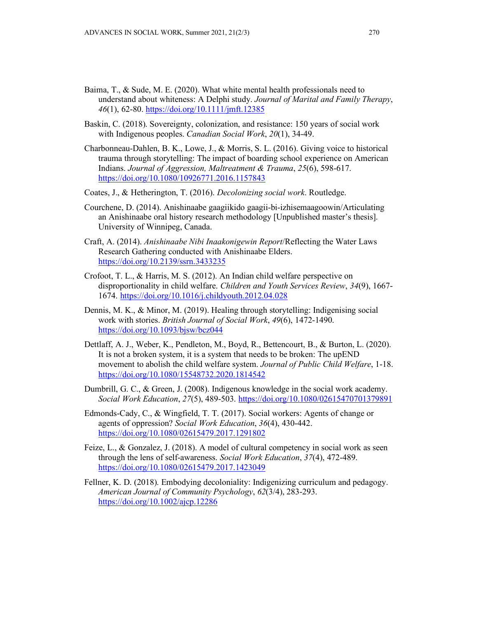- Baima, T., & Sude, M. E. (2020). What white mental health professionals need to understand about whiteness: A Delphi study. *Journal of Marital and Family Therapy*, *46*(1), 62-80.<https://doi.org/10.1111/jmft.12385>
- Baskin, C. (2018). Sovereignty, colonization, and resistance: 150 years of social work with Indigenous peoples. *Canadian Social Work*, *20*(1), 34-49.
- Charbonneau-Dahlen, B. K., Lowe, J., & Morris, S. L. (2016). Giving voice to historical trauma through storytelling: The impact of boarding school experience on American Indians. *Journal of Aggression, Maltreatment & Trauma*, *25*(6), 598-617. <https://doi.org/10.1080/10926771.2016.1157843>
- Coates, J., & Hetherington, T. (2016). *Decolonizing social work*. Routledge.
- Courchene, D. (2014). Anishinaabe gaagiikido gaagii-bi-izhisemaagoowin/Articulating an Anishinaabe oral history research methodology [Unpublished master's thesis]. University of Winnipeg, Canada.
- Craft, A. (2014). *Anishinaabe Nibi Inaakonigewin Report*/Reflecting the Water Laws Research Gathering conducted with Anishinaabe Elders. <https://doi.org/10.2139/ssrn.3433235>
- Crofoot, T. L., & Harris, M. S. (2012). An Indian child welfare perspective on disproportionality in child welfare. *Children and Youth Services Review*, *34*(9), 1667- 1674. <https://doi.org/10.1016/j.childyouth.2012.04.028>
- Dennis, M. K., & Minor, M. (2019). Healing through storytelling: Indigenising social work with stories. *British Journal of Social Work*, *49*(6), 1472-1490. <https://doi.org/10.1093/bjsw/bcz044>
- Dettlaff, A. J., Weber, K., Pendleton, M., Boyd, R., Bettencourt, B., & Burton, L. (2020). It is not a broken system, it is a system that needs to be broken: The upEND movement to abolish the child welfare system. *Journal of Public Child Welfare*, 1-18. <https://doi.org/10.1080/15548732.2020.1814542>
- Dumbrill, G. C., & Green, J. (2008). Indigenous knowledge in the social work academy. *Social Work Education*, *27*(5), 489-503. <https://doi.org/10.1080/02615470701379891>
- Edmonds-Cady, C., & Wingfield, T. T. (2017). Social workers: Agents of change or agents of oppression? *Social Work Education*, *36*(4), 430-442. <https://doi.org/10.1080/02615479.2017.1291802>
- Feize, L., & Gonzalez, J. (2018). A model of cultural competency in social work as seen through the lens of self-awareness. *Social Work Education*, *37*(4), 472-489. <https://doi.org/10.1080/02615479.2017.1423049>
- Fellner, K. D. (2018). Embodying decoloniality: Indigenizing curriculum and pedagogy. *American Journal of Community Psychology*, *62*(3/4), 283-293. <https://doi.org/10.1002/ajcp.12286>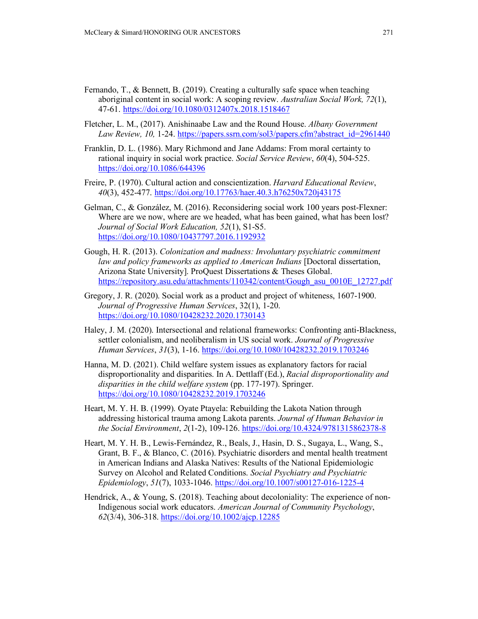- Fernando, T., & Bennett, B. (2019). Creating a culturally safe space when teaching aboriginal content in social work: A scoping review. *Australian Social Work, 72*(1), 47-61. <https://doi.org/10.1080/0312407x.2018.1518467>
- Fletcher, L. M., (2017). Anishinaabe Law and the Round House. *Albany Government Law Review, 10,* 1-24. [https://papers.ssrn.com/sol3/papers.cfm?abstract\\_id=2961440](https://papers.ssrn.com/sol3/papers.cfm?abstract_id=2961440)
- Franklin, D. L. (1986). Mary Richmond and Jane Addams: From moral certainty to rational inquiry in social work practice. *Social Service Review*, *60*(4), 504-525. <https://doi.org/10.1086/644396>
- Freire, P. (1970). Cultural action and conscientization. *Harvard Educational Review*, *40*(3), 452-477. <https://doi.org/10.17763/haer.40.3.h76250x720j43175>
- Gelman, C., & González, M. (2016). Reconsidering social work 100 years post-Flexner: Where are we now, where are we headed, what has been gained, what has been lost? *Journal of Social Work Education, 52*(1), S1-S5. <https://doi.org/10.1080/10437797.2016.1192932>
- Gough, H. R. (2013). *Colonization and madness: Involuntary psychiatric commitment law and policy frameworks as applied to American Indians* [Doctoral dissertation, Arizona State University]. ProQuest Dissertations & Theses Global. [https://repository.asu.edu/attachments/110342/content/Gough\\_asu\\_0010E\\_12727.pdf](https://repository.asu.edu/attachments/110342/content/Gough_asu_0010E_12727.pdf)
- Gregory, J. R. (2020). Social work as a product and project of whiteness, 1607-1900. *Journal of Progressive Human Services*, 32(1), 1-20. <https://doi.org/10.1080/10428232.2020.1730143>
- Haley, J. M. (2020). Intersectional and relational frameworks: Confronting anti-Blackness, settler colonialism, and neoliberalism in US social work. *Journal of Progressive Human Services*, *31*(3), 1-16. <https://doi.org/10.1080/10428232.2019.1703246>
- Hanna, M. D. (2021). Child welfare system issues as explanatory factors for racial disproportionality and disparities. In A. Dettlaff (Ed.), *Racial disproportionality and disparities in the child welfare system* (pp. 177-197). Springer. <https://doi.org/10.1080/10428232.2019.1703246>
- Heart, M. Y. H. B. (1999). Oyate Ptayela: Rebuilding the Lakota Nation through addressing historical trauma among Lakota parents. *Journal of Human Behavior in the Social Environment*, *2*(1-2), 109-126. <https://doi.org/10.4324/9781315862378-8>
- Heart, M. Y. H. B., Lewis-Fernández, R., Beals, J., Hasin, D. S., Sugaya, L., Wang, S., Grant, B. F., & Blanco, C. (2016). Psychiatric disorders and mental health treatment in American Indians and Alaska Natives: Results of the National Epidemiologic Survey on Alcohol and Related Conditions. *Social Psychiatry and Psychiatric Epidemiology*, *51*(7), 1033-1046. <https://doi.org/10.1007/s00127-016-1225-4>
- Hendrick, A., & Young, S. (2018). Teaching about decoloniality: The experience of non-Indigenous social work educators. *American Journal of Community Psychology*, *62*(3/4), 306-318.<https://doi.org/10.1002/ajcp.12285>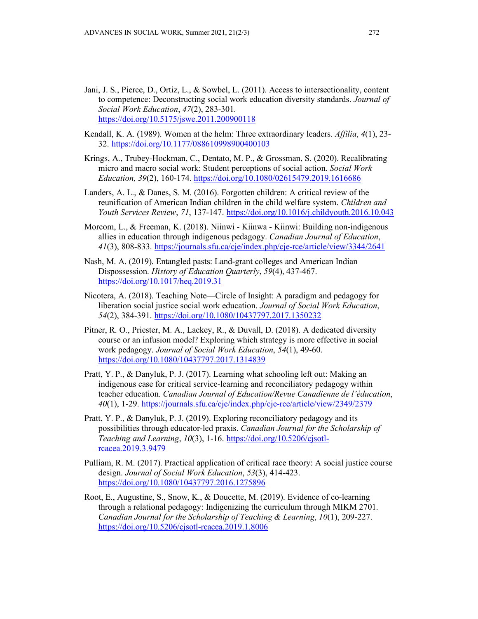- Jani, J. S., Pierce, D., Ortiz, L., & Sowbel, L. (2011). Access to intersectionality, content to competence: Deconstructing social work education diversity standards. *Journal of Social Work Education*, *47*(2), 283-301. <https://doi.org/10.5175/jswe.2011.200900118>
- Kendall, K. A. (1989). Women at the helm: Three extraordinary leaders. *Affilia*, *4*(1), 23- 32. <https://doi.org/10.1177/088610998900400103>
- Krings, A., Trubey-Hockman, C., Dentato, M. P., & Grossman, S. (2020). Recalibrating micro and macro social work: Student perceptions of social action. *Social Work Education, 39*(2), 160-174. <https://doi.org/10.1080/02615479.2019.1616686>
- Landers, A. L., & Danes, S. M. (2016). Forgotten children: A critical review of the reunification of American Indian children in the child welfare system. *Children and Youth Services Review*, *71*, 137-147. <https://doi.org/10.1016/j.childyouth.2016.10.043>
- Morcom, L., & Freeman, K. (2018). Niinwi Kiinwa Kiinwi: Building non-indigenous allies in education through indigenous pedagogy. *Canadian Journal of Education*, *41*(3), 808-833. <https://journals.sfu.ca/cje/index.php/cje-rce/article/view/3344/2641>
- Nash, M. A. (2019). Entangled pasts: Land-grant colleges and American Indian Dispossession. *History of Education Quarterly*, *59*(4), 437-467. <https://doi.org/10.1017/heq.2019.31>
- Nicotera, A. (2018). Teaching Note—Circle of Insight: A paradigm and pedagogy for liberation social justice social work education. *Journal of Social Work Education*, *54*(2), 384-391.<https://doi.org/10.1080/10437797.2017.1350232>
- Pitner, R. O., Priester, M. A., Lackey, R., & Duvall, D. (2018). A dedicated diversity course or an infusion model? Exploring which strategy is more effective in social work pedagogy. *Journal of Social Work Education*, *54*(1), 49-60. <https://doi.org/10.1080/10437797.2017.1314839>
- Pratt, Y. P., & Danyluk, P. J. (2017). Learning what schooling left out: Making an indigenous case for critical service-learning and reconciliatory pedagogy within teacher education. *Canadian Journal of Education/Revue Canadienne de l'éducation*, *40*(1), 1-29. <https://journals.sfu.ca/cje/index.php/cje-rce/article/view/2349/2379>
- Pratt, Y. P., & Danyluk, P. J. (2019). Exploring reconciliatory pedagogy and its possibilities through educator-led praxis. *Canadian Journal for the Scholarship of Teaching and Learning*, *10*(3), 1-16. [https://doi.org/10.5206/cjsotl](https://doi.org/10.5206/cjsotl-rcacea.2019.3.9479)[rcacea.2019.3.9479](https://doi.org/10.5206/cjsotl-rcacea.2019.3.9479)
- Pulliam, R. M. (2017). Practical application of critical race theory: A social justice course design. *Journal of Social Work Education*, *53*(3), 414-423. <https://doi.org/10.1080/10437797.2016.1275896>
- Root, E., Augustine, S., Snow, K., & Doucette, M. (2019). Evidence of co-learning through a relational pedagogy: Indigenizing the curriculum through MIKM 2701. *Canadian Journal for the Scholarship of Teaching & Learning*, *10*(1), 209-227. <https://doi.org/10.5206/cjsotl-rcacea.2019.1.8006>